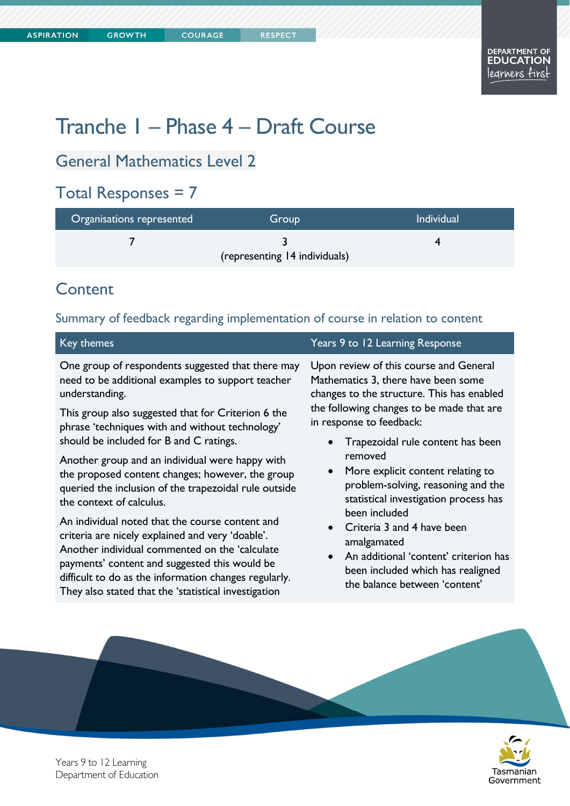# Tranche 1 – Phase 4 – Draft Course

# General Mathematics Level 2

# Total Responses = 7

| <b>Individual</b><br>Organisations represented<br>Group |                               |  |
|---------------------------------------------------------|-------------------------------|--|
|                                                         |                               |  |
|                                                         | (representing 14 individuals) |  |

## **Content**

#### Summary of feedback regarding implementation of course in relation to content

| One group of respondents suggested that there may<br>Upon review of this course and General<br>Mathematics 3, there have been some<br>need to be additional examples to support teacher<br>understanding.<br>changes to the structure. This has enabled<br>the following changes to be made that are<br>This group also suggested that for Criterion 6 the<br>in response to feedback:<br>phrase 'techniques with and without technology'<br>should be included for B and C ratings.<br>Trapezoidal rule content has been<br>removed<br>Another group and an individual were happy with<br>More explicit content relating to<br>the proposed content changes; however, the group<br>problem-solving, reasoning and the<br>queried the inclusion of the trapezoidal rule outside<br>statistical investigation process has<br>the context of calculus.<br>been included<br>An individual noted that the course content and<br>Criteria 3 and 4 have been<br>criteria are nicely explained and very 'doable'.<br>amalgamated<br>Another individual commented on the 'calculate<br>An additional 'content' criterion has<br>payments' content and suggested this would be<br>been included which has realigned<br>difficult to do as the information changes regularly.<br>the balance between 'content' |
|------------------------------------------------------------------------------------------------------------------------------------------------------------------------------------------------------------------------------------------------------------------------------------------------------------------------------------------------------------------------------------------------------------------------------------------------------------------------------------------------------------------------------------------------------------------------------------------------------------------------------------------------------------------------------------------------------------------------------------------------------------------------------------------------------------------------------------------------------------------------------------------------------------------------------------------------------------------------------------------------------------------------------------------------------------------------------------------------------------------------------------------------------------------------------------------------------------------------------------------------------------------------------------------------------|
|                                                                                                                                                                                                                                                                                                                                                                                                                                                                                                                                                                                                                                                                                                                                                                                                                                                                                                                                                                                                                                                                                                                                                                                                                                                                                                      |
|                                                                                                                                                                                                                                                                                                                                                                                                                                                                                                                                                                                                                                                                                                                                                                                                                                                                                                                                                                                                                                                                                                                                                                                                                                                                                                      |
| They also stated that the 'statistical investigation                                                                                                                                                                                                                                                                                                                                                                                                                                                                                                                                                                                                                                                                                                                                                                                                                                                                                                                                                                                                                                                                                                                                                                                                                                                 |



Years 9 to 12 Learning Department of Education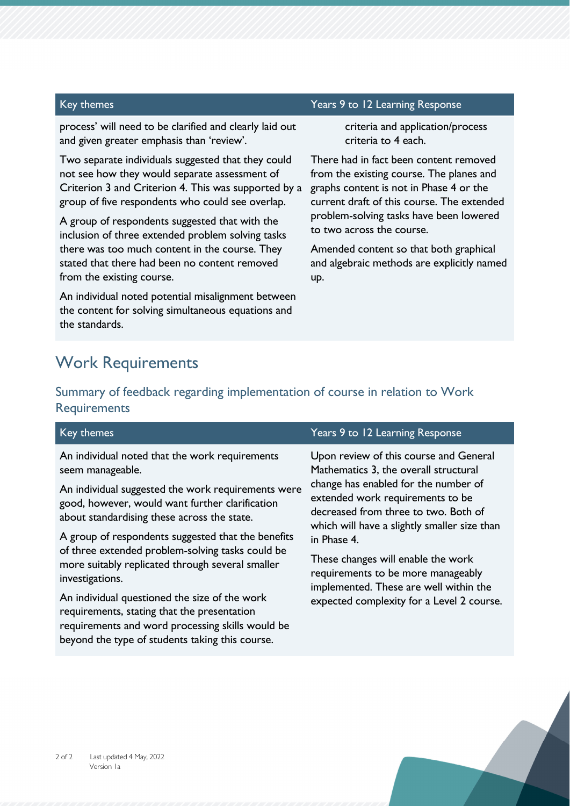process' will need to be clarified and clearly laid out and given greater emphasis than 'review'.

Two separate individuals suggested that they could not see how they would separate assessment of Criterion 3 and Criterion 4. This was supported by a group of five respondents who could see overlap.

A group of respondents suggested that with the inclusion of three extended problem solving tasks there was too much content in the course. They stated that there had been no content removed from the existing course.

An individual noted potential misalignment between the content for solving simultaneous equations and the standards.

#### Key themes Years 9 to 12 Learning Response

criteria and application/process criteria to 4 each.

There had in fact been content removed from the existing course. The planes and graphs content is not in Phase 4 or the current draft of this course. The extended problem-solving tasks have been lowered to two across the course.

Amended content so that both graphical and algebraic methods are explicitly named up.

### Work Requirements

#### Summary of feedback regarding implementation of course in relation to Work **Requirements**

| Key themes                                                                                                                                                                                                                                                                                                                                                                                                                                                                                                                                                                                                         | Years 9 to 12 Learning Response                                                                                                                                                                                                                                                                                                                                                                                                       |
|--------------------------------------------------------------------------------------------------------------------------------------------------------------------------------------------------------------------------------------------------------------------------------------------------------------------------------------------------------------------------------------------------------------------------------------------------------------------------------------------------------------------------------------------------------------------------------------------------------------------|---------------------------------------------------------------------------------------------------------------------------------------------------------------------------------------------------------------------------------------------------------------------------------------------------------------------------------------------------------------------------------------------------------------------------------------|
| An individual noted that the work requirements<br>seem manageable.<br>An individual suggested the work requirements were<br>good, however, would want further clarification<br>about standardising these across the state.<br>A group of respondents suggested that the benefits<br>of three extended problem-solving tasks could be<br>more suitably replicated through several smaller<br>investigations.<br>An individual questioned the size of the work<br>requirements, stating that the presentation<br>requirements and word processing skills would be<br>beyond the type of students taking this course. | Upon review of this course and General<br>Mathematics 3, the overall structural<br>change has enabled for the number of<br>extended work requirements to be<br>decreased from three to two. Both of<br>which will have a slightly smaller size than<br>in Phase 4.<br>These changes will enable the work<br>requirements to be more manageably<br>implemented. These are well within the<br>expected complexity for a Level 2 course. |